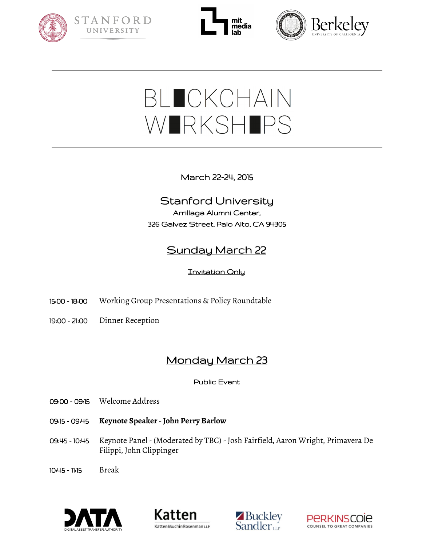







# BLOCKCHAIN WIRKSHIPS

March 22-24, 2015

## Stanford University Arrillaga Alumni Center, 326 Galvez Street, Palo Alto, CA 94305

# Sunday March 22

### **Invitation Only**

- 15:00 18:00 Working Group Presentations & Policy Roundtable
- 19:00 21:00 Dinner Reception

# Monday March 23

#### Public Event

- 09:00 09:15 Welcome Address
- 09:15 09:45 **Keynote Speaker - John Perry Barlow**
- 09:45 10:45 Keynote Panel (Moderated by TBC) Josh Fairfield, Aaron Wright, Primavera De Filippi, John Clippinger
- 10:45 11:15 Break







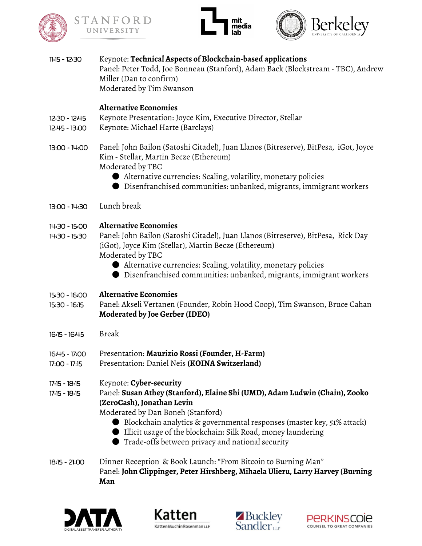





| $11:15 - 12:30$                | Keynote: Technical Aspects of Blockchain-based applications<br>Panel: Peter Todd, Joe Bonneau (Stanford), Adam Back (Blockstream - TBC), Andrew<br>Miller (Dan to confirm)<br>Moderated by Tim Swanson                                                                                                                                                                    |
|--------------------------------|---------------------------------------------------------------------------------------------------------------------------------------------------------------------------------------------------------------------------------------------------------------------------------------------------------------------------------------------------------------------------|
| 12:30 - 12:45<br>12:45 - 13:00 | <b>Alternative Economies</b><br>Keynote Presentation: Joyce Kim, Executive Director, Stellar<br>Keynote: Michael Harte (Barclays)                                                                                                                                                                                                                                         |
| 13:00 - 14:00                  | Panel: John Bailon (Satoshi Citadel), Juan Llanos (Bitreserve), BitPesa, iGot, Joyce<br>Kim - Stellar, Martin Becze (Ethereum)<br>Moderated by TBC<br>$\bullet$ Alternative currencies: Scaling, volatility, monetary policies<br>$\bullet$ Disenfranchised communities: unbanked, migrants, immigrant workers                                                            |
| $13:00 - 14:30$                | Lunch break                                                                                                                                                                                                                                                                                                                                                               |
| 14:30 - 15:00<br>14:30 - 15:30 | <b>Alternative Economies</b><br>Panel: John Bailon (Satoshi Citadel), Juan Llanos (Bitreserve), BitPesa, Rick Day<br>(iGot), Joyce Kim (Stellar), Martin Becze (Ethereum)<br>Moderated by TBC<br>• Alternative currencies: Scaling, volatility, monetary policies<br>$\bullet$ Disenfranchised communities: unbanked, migrants, immigrant workers                         |
| 15:30 - 16:00<br>15:30 - 16:15 | <b>Alternative Economies</b><br>Panel: Akseli Vertanen (Founder, Robin Hood Coop), Tim Swanson, Bruce Cahan<br>Moderated by Joe Gerber (IDEO)                                                                                                                                                                                                                             |
| 16:15 - 16:45                  | <b>Break</b>                                                                                                                                                                                                                                                                                                                                                              |
| 16:45 - 17:00<br>17:00 - 17:15 | Presentation: Maurizio Rossi (Founder, H-Farm)<br>Presentation: Daniel Neis (KOINA Switzerland)                                                                                                                                                                                                                                                                           |
| 17:15 - 18:15<br>17:15 - 18:15 | Keynote: Cyber-security<br>Panel: Susan Athey (Stanford), Elaine Shi (UMD), Adam Ludwin (Chain), Zooko<br>(ZeroCash), Jonathan Levin<br>Moderated by Dan Boneh (Stanford)<br>● Blockchain analytics & governmental responses (master key, 51% attack)<br>Illicit usage of the blockchain: Silk Road, money laundering<br>Trade-offs between privacy and national security |
| 18:15 - 21:00                  | Dinner Reception & Book Launch: "From Bitcoin to Burning Man"<br>Panel: John Clippinger, Peter Hirshberg, Mihaela Ulieru, Larry Harvey (Burning<br>Man                                                                                                                                                                                                                    |







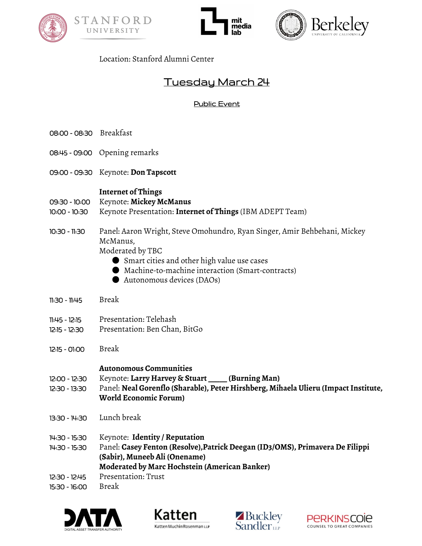





#### Location: Stanford Alumni Center

## Tuesday March 24

#### Public Event

- 08:00 08:30 Breakfast
- 08:45 09:00 Opening remarks
- 09:00 09:30 Keynote: **Don Tapscott**

#### **Internet of Things**

- 09:30 10:00 Keynote: **Mickey McManus**
- 10:00 10:30 Keynote Presentation: **Internet of Things** (IBM ADEPT Team)
- 10:30 11:30 Panel: Aaron Wright, Steve Omohundro, Ryan Singer, Amir Behbehani, Mickey McManus,

Moderated by TBC

- Smart cities and other high value use cases
- Machine-to-machine interaction (Smart-contracts)
- Autonomous devices (DAOs)
- 11:30 11:45 Break
- 11:45 12:15 Presentation: Telehash
- 12:15 12:30 Presentation: Ben Chan, BitGo
- 12:15 01:00 Break

#### **Autonomous Communities**

- 12:00 12:30 Keynote: **Larry Harvey & Stuart \_\_\_\_\_ (Burning Man)**
- 12:30 13:30 Panel: **Neal Gorenflo (Sharable), Peter Hirshberg, Mihaela Ulieru (ImpactInstitute, World Economic Forum)**
- 13:30 14:30 Lunch break
- 14:30 15:30 Keynote: **Identity / Reputation**
- 14:30 15:30 Panel: **Casey Fenton (Resolve),Patrick Deegan (ID3/OMS), Primavera De Filippi (Sabir), Muneeb Ali (Onename) Moderated by Marc Hochstein (American Banker)** 12:30 - 12:45 Presentation: Trust
- 15:30 16:00 Break